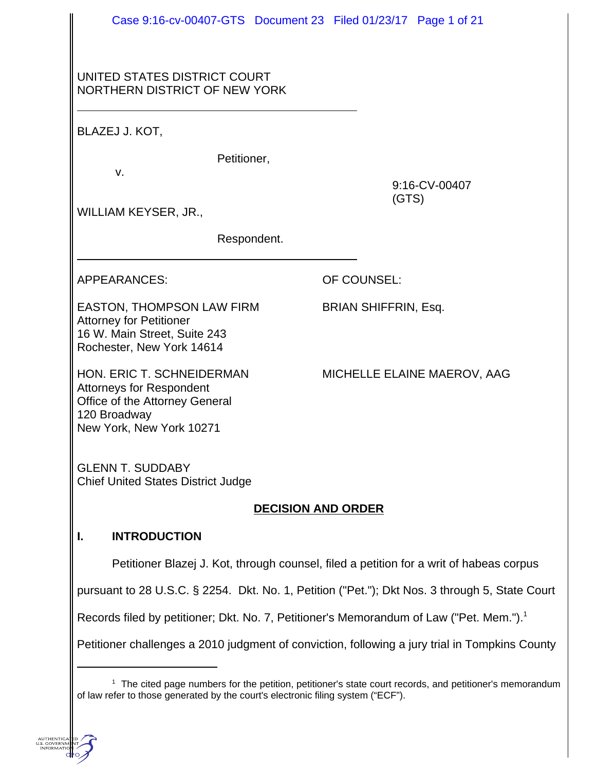|                                                                                                                                     | Case 9:16-cv-00407-GTS Document 23 Filed 01/23/17 Page 1 of 21                                      |
|-------------------------------------------------------------------------------------------------------------------------------------|-----------------------------------------------------------------------------------------------------|
| UNITED STATES DISTRICT COURT<br>NORTHERN DISTRICT OF NEW YORK                                                                       |                                                                                                     |
| BLAZEJ J. KOT,                                                                                                                      |                                                                                                     |
| Petitioner,                                                                                                                         |                                                                                                     |
| V.<br>WILLIAM KEYSER, JR.,                                                                                                          | 9:16-CV-00407<br>(GTS)                                                                              |
| Respondent.                                                                                                                         |                                                                                                     |
| <b>APPEARANCES:</b>                                                                                                                 | OF COUNSEL:                                                                                         |
| EASTON, THOMPSON LAW FIRM<br><b>Attorney for Petitioner</b><br>16 W. Main Street, Suite 243<br>Rochester, New York 14614            | <b>BRIAN SHIFFRIN, Esq.</b>                                                                         |
| HON. ERIC T. SCHNEIDERMAN<br>Attorneys for Respondent<br>Office of the Attorney General<br>120 Broadway<br>New York, New York 10271 | MICHELLE ELAINE MAEROV, AAG                                                                         |
| <b>GLENN T. SUDDABY</b><br><b>Chief United States District Judge</b>                                                                |                                                                                                     |
|                                                                                                                                     | <b>DECISION AND ORDER</b>                                                                           |
| <b>INTRODUCTION</b>                                                                                                                 |                                                                                                     |
|                                                                                                                                     | Petitioner Blazej J. Kot, through counsel, filed a petition for a writ of habeas corpus             |
|                                                                                                                                     | pursuant to 28 U.S.C. § 2254. Dkt. No. 1, Petition ("Pet."); Dkt Nos. 3 through 5, State Court      |
|                                                                                                                                     | Records filed by petitioner; Dkt. No. 7, Petitioner's Memorandum of Law ("Pet. Mem."). <sup>1</sup> |
|                                                                                                                                     | Petitioner challenges a 2010 judgment of conviction, following a jury trial in Tompkins County      |
|                                                                                                                                     |                                                                                                     |

<sup>&</sup>lt;sup>1</sup> The cited page numbers for the petition, petitioner's state court records, and petitioner's memorandum of law refer to those generated by the court's electronic filing system ("ECF").

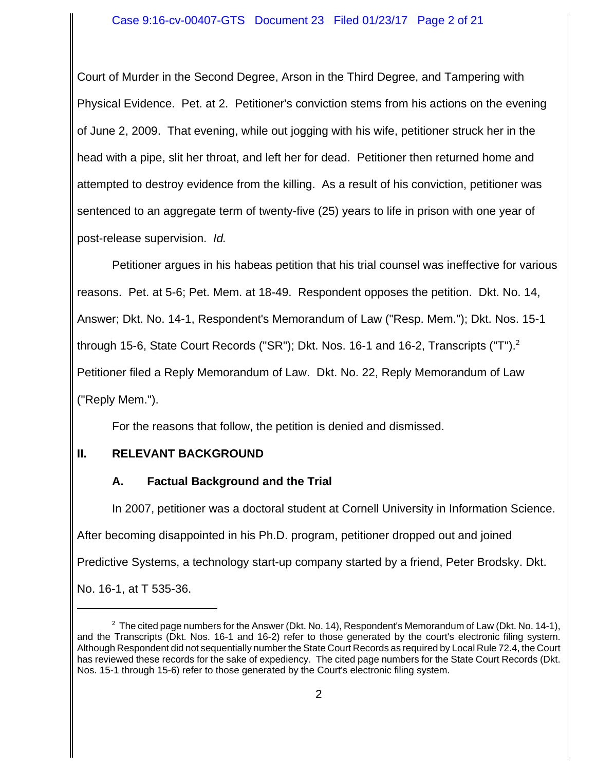#### Case 9:16-cv-00407-GTS Document 23 Filed 01/23/17 Page 2 of 21

Court of Murder in the Second Degree, Arson in the Third Degree, and Tampering with Physical Evidence. Pet. at 2. Petitioner's conviction stems from his actions on the evening of June 2, 2009. That evening, while out jogging with his wife, petitioner struck her in the head with a pipe, slit her throat, and left her for dead. Petitioner then returned home and attempted to destroy evidence from the killing. As a result of his conviction, petitioner was sentenced to an aggregate term of twenty-five (25) years to life in prison with one year of post-release supervision. *Id.* 

Petitioner argues in his habeas petition that his trial counsel was ineffective for various reasons. Pet. at 5-6; Pet. Mem. at 18-49. Respondent opposes the petition. Dkt. No. 14, Answer; Dkt. No. 14-1, Respondent's Memorandum of Law ("Resp. Mem."); Dkt. Nos. 15-1 through 15-6, State Court Records ("SR"); Dkt. Nos. 16-1 and 16-2, Transcripts ("T").<sup>2</sup> Petitioner filed a Reply Memorandum of Law. Dkt. No. 22, Reply Memorandum of Law ("Reply Mem.").

For the reasons that follow, the petition is denied and dismissed.

## **II. RELEVANT BACKGROUND**

## **A. Factual Background and the Trial**

In 2007, petitioner was a doctoral student at Cornell University in Information Science. After becoming disappointed in his Ph.D. program, petitioner dropped out and joined Predictive Systems, a technology start-up company started by a friend, Peter Brodsky. Dkt. No. 16-1, at T 535-36.

 $2$  The cited page numbers for the Answer (Dkt. No. 14), Respondent's Memorandum of Law (Dkt. No. 14-1), and the Transcripts (Dkt. Nos. 16-1 and 16-2) refer to those generated by the court's electronic filing system. Although Respondent did not sequentially number the State Court Records as required by Local Rule 72.4, the Court has reviewed these records for the sake of expediency. The cited page numbers for the State Court Records (Dkt. Nos. 15-1 through 15-6) refer to those generated by the Court's electronic filing system.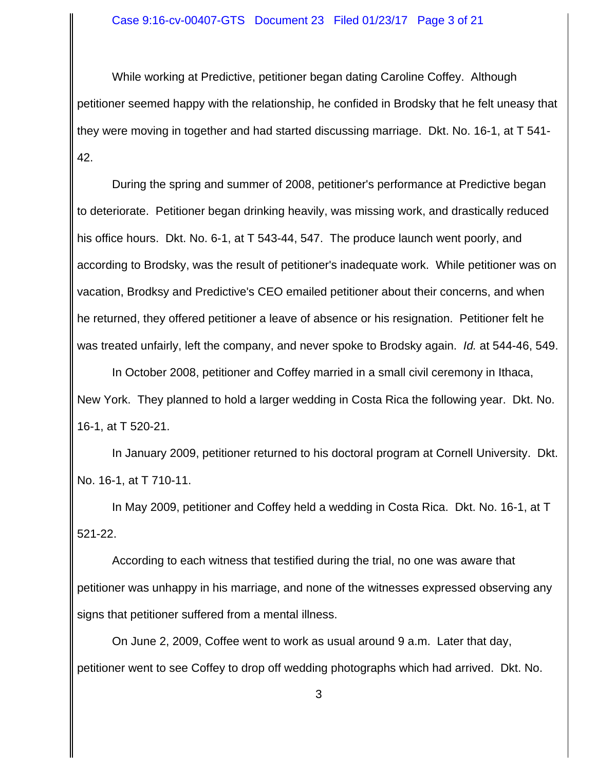While working at Predictive, petitioner began dating Caroline Coffey. Although petitioner seemed happy with the relationship, he confided in Brodsky that he felt uneasy that they were moving in together and had started discussing marriage. Dkt. No. 16-1, at T 541- 42.

During the spring and summer of 2008, petitioner's performance at Predictive began to deteriorate. Petitioner began drinking heavily, was missing work, and drastically reduced his office hours. Dkt. No. 6-1, at T 543-44, 547. The produce launch went poorly, and according to Brodsky, was the result of petitioner's inadequate work. While petitioner was on vacation, Brodksy and Predictive's CEO emailed petitioner about their concerns, and when he returned, they offered petitioner a leave of absence or his resignation. Petitioner felt he was treated unfairly, left the company, and never spoke to Brodsky again. *Id.* at 544-46, 549.

In October 2008, petitioner and Coffey married in a small civil ceremony in Ithaca, New York. They planned to hold a larger wedding in Costa Rica the following year. Dkt. No. 16-1, at T 520-21.

In January 2009, petitioner returned to his doctoral program at Cornell University. Dkt. No. 16-1, at T 710-11.

In May 2009, petitioner and Coffey held a wedding in Costa Rica. Dkt. No. 16-1, at T 521-22.

According to each witness that testified during the trial, no one was aware that petitioner was unhappy in his marriage, and none of the witnesses expressed observing any signs that petitioner suffered from a mental illness.

On June 2, 2009, Coffee went to work as usual around 9 a.m. Later that day, petitioner went to see Coffey to drop off wedding photographs which had arrived. Dkt. No.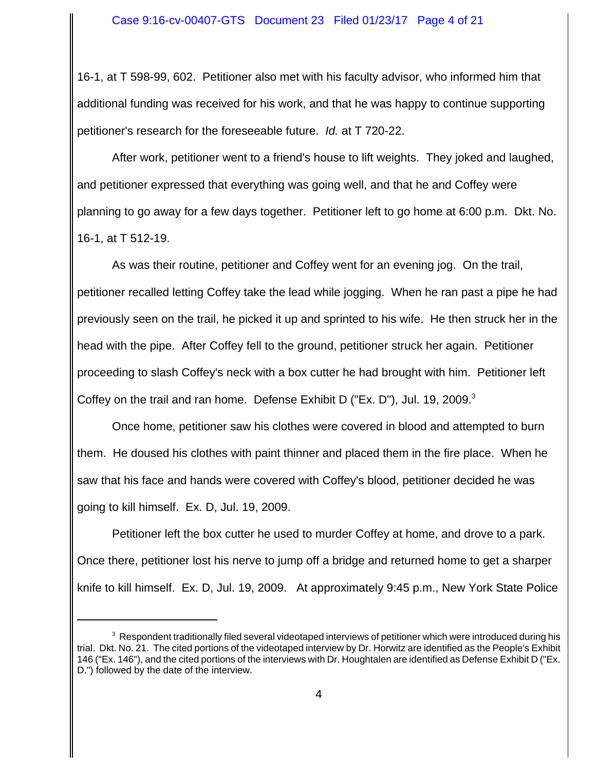16-1, at T 598-99, 602. Petitioner also met with his faculty advisor, who informed him that additional funding was received for his work, and that he was happy to continue supporting petitioner's research for the foreseeable future. *Id.* at T 720-22.

After work, petitioner went to a friend's house to lift weights. They joked and laughed, and petitioner expressed that everything was going well, and that he and Coffey were planning to go away for a few days together. Petitioner left to go home at 6:00 p.m. Dkt. No. 16-1, at T 512-19.

As was their routine, petitioner and Coffey went for an evening jog. On the trail, petitioner recalled letting Coffey take the lead while jogging. When he ran past a pipe he had previously seen on the trail, he picked it up and sprinted to his wife. He then struck her in the head with the pipe. After Coffey fell to the ground, petitioner struck her again. Petitioner proceeding to slash Coffey's neck with a box cutter he had brought with him. Petitioner left Coffey on the trail and ran home. Defense Exhibit D ("Ex. D"), Jul. 19, 2009. $3$ 

Once home, petitioner saw his clothes were covered in blood and attempted to burn them. He doused his clothes with paint thinner and placed them in the fire place. When he saw that his face and hands were covered with Coffey's blood, petitioner decided he was going to kill himself. Ex. D, Jul. 19, 2009.

Petitioner left the box cutter he used to murder Coffey at home, and drove to a park. Once there, petitioner lost his nerve to jump off a bridge and returned home to get a sharper knife to kill himself. Ex. D, Jul. 19, 2009. At approximately 9:45 p.m., New York State Police

 $^3$  Respondent traditionally filed several videotaped interviews of petitioner which were introduced during his trial. Dkt. No. 21. The cited portions of the videotaped interview by Dr. Horwitz are identified as the People's Exhibit 146 ("Ex. 146"), and the cited portions of the interviews with Dr. Houghtalen are identified as Defense Exhibit D ("Ex. D.") followed by the date of the interview.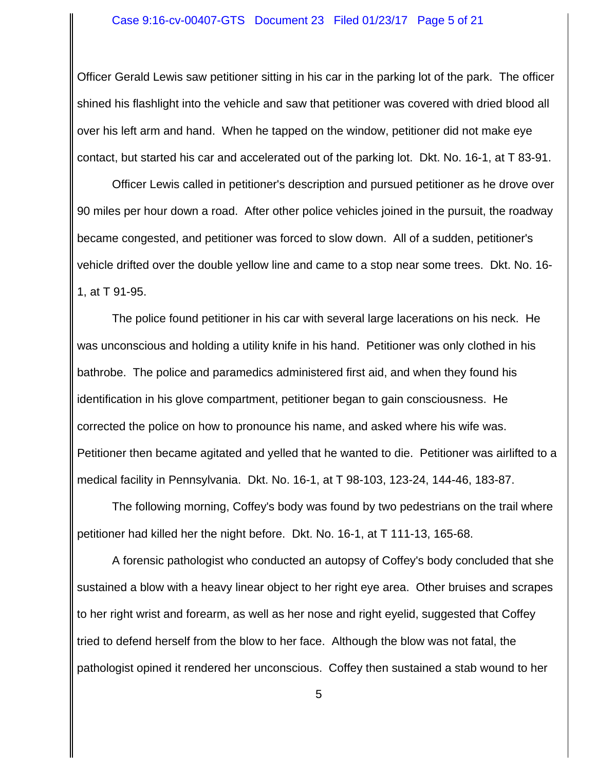Officer Gerald Lewis saw petitioner sitting in his car in the parking lot of the park. The officer shined his flashlight into the vehicle and saw that petitioner was covered with dried blood all over his left arm and hand. When he tapped on the window, petitioner did not make eye contact, but started his car and accelerated out of the parking lot. Dkt. No. 16-1, at T 83-91.

Officer Lewis called in petitioner's description and pursued petitioner as he drove over 90 miles per hour down a road. After other police vehicles joined in the pursuit, the roadway became congested, and petitioner was forced to slow down. All of a sudden, petitioner's vehicle drifted over the double yellow line and came to a stop near some trees. Dkt. No. 16- 1, at T 91-95.

The police found petitioner in his car with several large lacerations on his neck. He was unconscious and holding a utility knife in his hand. Petitioner was only clothed in his bathrobe. The police and paramedics administered first aid, and when they found his identification in his glove compartment, petitioner began to gain consciousness. He corrected the police on how to pronounce his name, and asked where his wife was. Petitioner then became agitated and yelled that he wanted to die. Petitioner was airlifted to a medical facility in Pennsylvania. Dkt. No. 16-1, at T 98-103, 123-24, 144-46, 183-87.

The following morning, Coffey's body was found by two pedestrians on the trail where petitioner had killed her the night before. Dkt. No. 16-1, at T 111-13, 165-68.

A forensic pathologist who conducted an autopsy of Coffey's body concluded that she sustained a blow with a heavy linear object to her right eye area. Other bruises and scrapes to her right wrist and forearm, as well as her nose and right eyelid, suggested that Coffey tried to defend herself from the blow to her face. Although the blow was not fatal, the pathologist opined it rendered her unconscious. Coffey then sustained a stab wound to her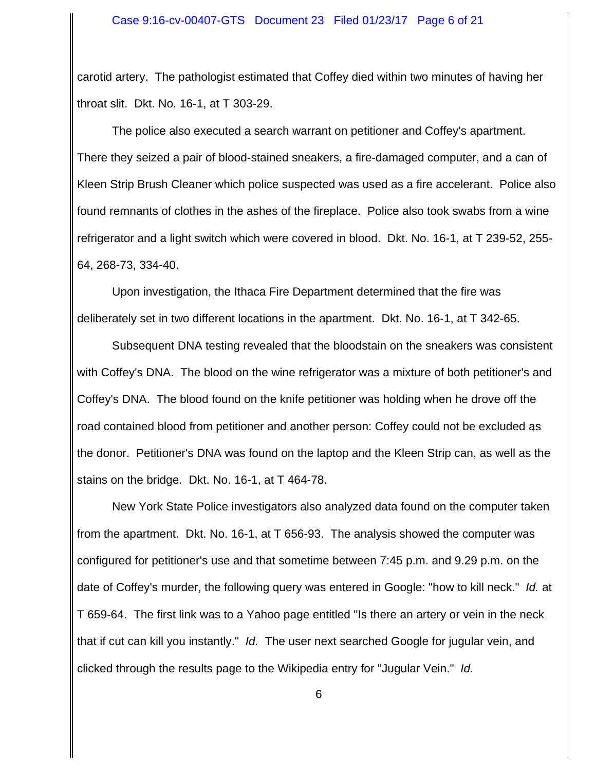carotid artery. The pathologist estimated that Coffey died within two minutes of having her throat slit. Dkt. No. 16-1, at T 303-29.

The police also executed a search warrant on petitioner and Coffey's apartment. There they seized a pair of blood-stained sneakers, a fire-damaged computer, and a can of Kleen Strip Brush Cleaner which police suspected was used as a fire accelerant. Police also found remnants of clothes in the ashes of the fireplace. Police also took swabs from a wine refrigerator and a light switch which were covered in blood. Dkt. No. 16-1, at T 239-52, 255- 64, 268-73, 334-40.

Upon investigation, the Ithaca Fire Department determined that the fire was deliberately set in two different locations in the apartment. Dkt. No. 16-1, at T 342-65.

Subsequent DNA testing revealed that the bloodstain on the sneakers was consistent with Coffey's DNA. The blood on the wine refrigerator was a mixture of both petitioner's and Coffey's DNA. The blood found on the knife petitioner was holding when he drove off the road contained blood from petitioner and another person: Coffey could not be excluded as the donor. Petitioner's DNA was found on the laptop and the Kleen Strip can, as well as the stains on the bridge. Dkt. No. 16-1, at T 464-78.

New York State Police investigators also analyzed data found on the computer taken from the apartment. Dkt. No. 16-1, at T 656-93. The analysis showed the computer was configured for petitioner's use and that sometime between 7:45 p.m. and 9.29 p.m. on the date of Coffey's murder, the following query was entered in Google: "how to kill neck." *Id.* at T 659-64. The first link was to a Yahoo page entitled "Is there an artery or vein in the neck that if cut can kill you instantly." *Id.* The user next searched Google for jugular vein, and clicked through the results page to the Wikipedia entry for "Jugular Vein." *Id.*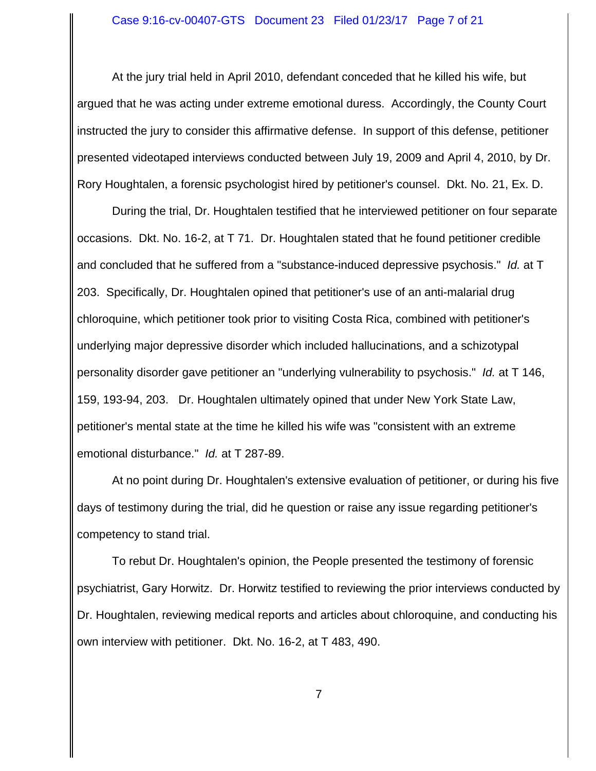At the jury trial held in April 2010, defendant conceded that he killed his wife, but argued that he was acting under extreme emotional duress. Accordingly, the County Court instructed the jury to consider this affirmative defense. In support of this defense, petitioner presented videotaped interviews conducted between July 19, 2009 and April 4, 2010, by Dr. Rory Houghtalen, a forensic psychologist hired by petitioner's counsel. Dkt. No. 21, Ex. D.

During the trial, Dr. Houghtalen testified that he interviewed petitioner on four separate occasions. Dkt. No. 16-2, at T 71. Dr. Houghtalen stated that he found petitioner credible and concluded that he suffered from a "substance-induced depressive psychosis." *Id.* at T 203. Specifically, Dr. Houghtalen opined that petitioner's use of an anti-malarial drug chloroquine, which petitioner took prior to visiting Costa Rica, combined with petitioner's underlying major depressive disorder which included hallucinations, and a schizotypal personality disorder gave petitioner an "underlying vulnerability to psychosis." *Id.* at T 146, 159, 193-94, 203. Dr. Houghtalen ultimately opined that under New York State Law, petitioner's mental state at the time he killed his wife was "consistent with an extreme emotional disturbance." *Id.* at T 287-89.

At no point during Dr. Houghtalen's extensive evaluation of petitioner, or during his five days of testimony during the trial, did he question or raise any issue regarding petitioner's competency to stand trial.

To rebut Dr. Houghtalen's opinion, the People presented the testimony of forensic psychiatrist, Gary Horwitz. Dr. Horwitz testified to reviewing the prior interviews conducted by Dr. Houghtalen, reviewing medical reports and articles about chloroquine, and conducting his own interview with petitioner. Dkt. No. 16-2, at T 483, 490.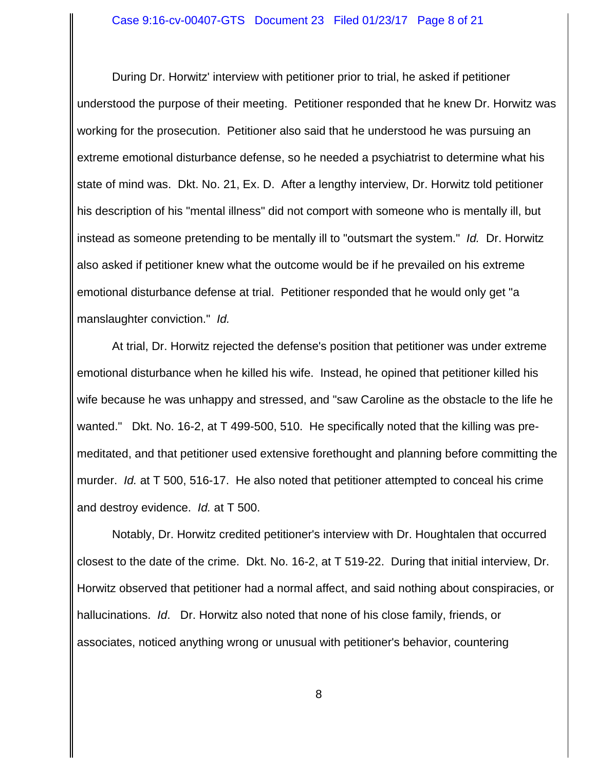During Dr. Horwitz' interview with petitioner prior to trial, he asked if petitioner understood the purpose of their meeting. Petitioner responded that he knew Dr. Horwitz was working for the prosecution. Petitioner also said that he understood he was pursuing an extreme emotional disturbance defense, so he needed a psychiatrist to determine what his state of mind was. Dkt. No. 21, Ex. D. After a lengthy interview, Dr. Horwitz told petitioner his description of his "mental illness" did not comport with someone who is mentally ill, but instead as someone pretending to be mentally ill to "outsmart the system." *Id.* Dr. Horwitz also asked if petitioner knew what the outcome would be if he prevailed on his extreme emotional disturbance defense at trial. Petitioner responded that he would only get "a manslaughter conviction." *Id.*

At trial, Dr. Horwitz rejected the defense's position that petitioner was under extreme emotional disturbance when he killed his wife. Instead, he opined that petitioner killed his wife because he was unhappy and stressed, and "saw Caroline as the obstacle to the life he wanted." Dkt. No. 16-2, at T 499-500, 510. He specifically noted that the killing was premeditated, and that petitioner used extensive forethought and planning before committing the murder. *Id.* at T 500, 516-17. He also noted that petitioner attempted to conceal his crime and destroy evidence. *Id.* at T 500.

Notably, Dr. Horwitz credited petitioner's interview with Dr. Houghtalen that occurred closest to the date of the crime. Dkt. No. 16-2, at T 519-22. During that initial interview, Dr. Horwitz observed that petitioner had a normal affect, and said nothing about conspiracies, or hallucinations. *Id*. Dr. Horwitz also noted that none of his close family, friends, or associates, noticed anything wrong or unusual with petitioner's behavior, countering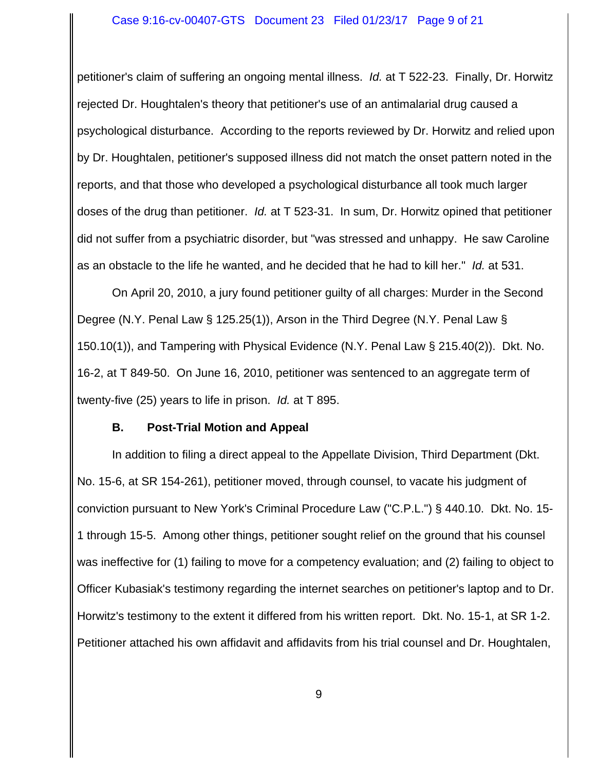petitioner's claim of suffering an ongoing mental illness. *Id.* at T 522-23. Finally, Dr. Horwitz rejected Dr. Houghtalen's theory that petitioner's use of an antimalarial drug caused a psychological disturbance. According to the reports reviewed by Dr. Horwitz and relied upon by Dr. Houghtalen, petitioner's supposed illness did not match the onset pattern noted in the reports, and that those who developed a psychological disturbance all took much larger doses of the drug than petitioner. *Id.* at T 523-31. In sum, Dr. Horwitz opined that petitioner did not suffer from a psychiatric disorder, but "was stressed and unhappy. He saw Caroline as an obstacle to the life he wanted, and he decided that he had to kill her." *Id.* at 531.

On April 20, 2010, a jury found petitioner guilty of all charges: Murder in the Second Degree (N.Y. Penal Law § 125.25(1)), Arson in the Third Degree (N.Y. Penal Law § 150.10(1)), and Tampering with Physical Evidence (N.Y. Penal Law § 215.40(2)). Dkt. No. 16-2, at T 849-50. On June 16, 2010, petitioner was sentenced to an aggregate term of twenty-five (25) years to life in prison. *Id.* at T 895.

## **B. Post-Trial Motion and Appeal**

In addition to filing a direct appeal to the Appellate Division, Third Department (Dkt. No. 15-6, at SR 154-261), petitioner moved, through counsel, to vacate his judgment of conviction pursuant to New York's Criminal Procedure Law ("C.P.L.") § 440.10. Dkt. No. 15- 1 through 15-5. Among other things, petitioner sought relief on the ground that his counsel was ineffective for (1) failing to move for a competency evaluation; and (2) failing to object to Officer Kubasiak's testimony regarding the internet searches on petitioner's laptop and to Dr. Horwitz's testimony to the extent it differed from his written report. Dkt. No. 15-1, at SR 1-2. Petitioner attached his own affidavit and affidavits from his trial counsel and Dr. Houghtalen,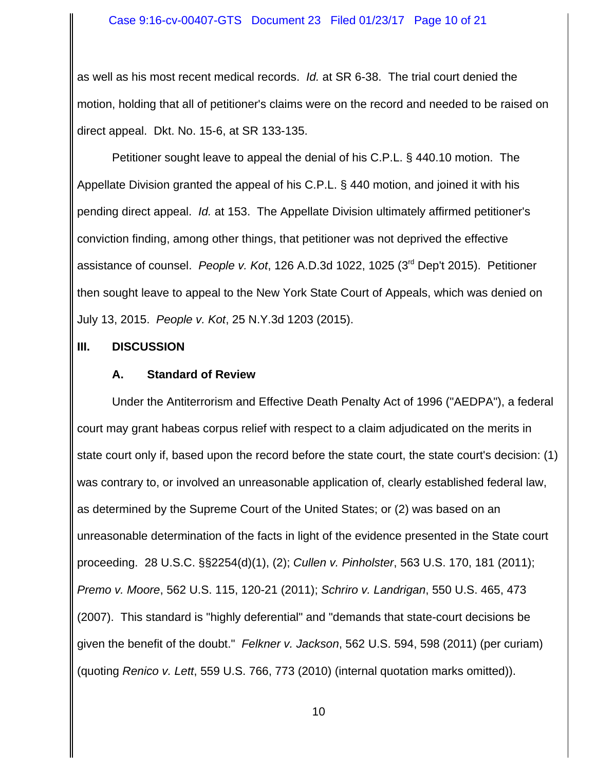as well as his most recent medical records. *Id.* at SR 6-38. The trial court denied the motion, holding that all of petitioner's claims were on the record and needed to be raised on direct appeal. Dkt. No. 15-6, at SR 133-135.

Petitioner sought leave to appeal the denial of his C.P.L. § 440.10 motion. The Appellate Division granted the appeal of his C.P.L. § 440 motion, and joined it with his pending direct appeal. *Id.* at 153. The Appellate Division ultimately affirmed petitioner's conviction finding, among other things, that petitioner was not deprived the effective assistance of counsel. *People v. Kot*, 126 A.D.3d 1022, 1025 (3rd Dep't 2015). Petitioner then sought leave to appeal to the New York State Court of Appeals, which was denied on July 13, 2015. *People v. Kot*, 25 N.Y.3d 1203 (2015).

#### **III. DISCUSSION**

#### **A. Standard of Review**

Under the Antiterrorism and Effective Death Penalty Act of 1996 ("AEDPA"), a federal court may grant habeas corpus relief with respect to a claim adjudicated on the merits in state court only if, based upon the record before the state court, the state court's decision: (1) was contrary to, or involved an unreasonable application of, clearly established federal law, as determined by the Supreme Court of the United States; or (2) was based on an unreasonable determination of the facts in light of the evidence presented in the State court proceeding. 28 U.S.C. §§2254(d)(1), (2); *Cullen v. Pinholster*, 563 U.S. 170, 181 (2011); *Premo v. Moore*, 562 U.S. 115, 120-21 (2011); *Schriro v. Landrigan*, 550 U.S. 465, 473 (2007). This standard is "highly deferential" and "demands that state-court decisions be given the benefit of the doubt." *Felkner v. Jackson*, 562 U.S. 594, 598 (2011) (per curiam) (quoting *Renico v. Lett*, 559 U.S. 766, 773 (2010) (internal quotation marks omitted)).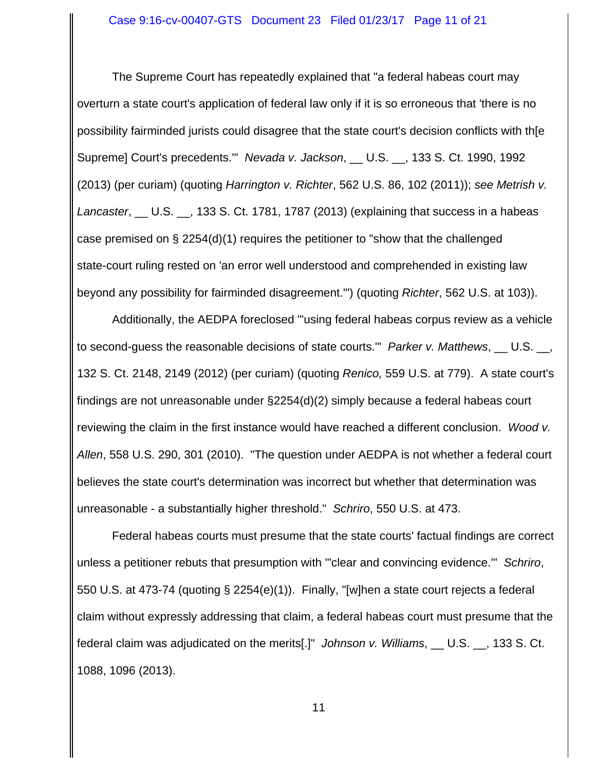The Supreme Court has repeatedly explained that "a federal habeas court may overturn a state court's application of federal law only if it is so erroneous that 'there is no possibility fairminded jurists could disagree that the state court's decision conflicts with th[e Supreme] Court's precedents.'" *Nevada v. Jackson*, \_\_ U.S. \_\_, 133 S. Ct. 1990, 1992 (2013) (per curiam) (quoting *Harrington v. Richter*, 562 U.S. 86, 102 (2011)); *see Metrish v. Lancaster*, \_\_ U.S. \_\_, 133 S. Ct. 1781, 1787 (2013) (explaining that success in a habeas case premised on § 2254(d)(1) requires the petitioner to "show that the challenged state-court ruling rested on 'an error well understood and comprehended in existing law beyond any possibility for fairminded disagreement.'") (quoting *Richter*, 562 U.S. at 103)).

Additionally, the AEDPA foreclosed "'using federal habeas corpus review as a vehicle to second-guess the reasonable decisions of state courts.'" *Parker v. Matthews*, \_\_ U.S. \_\_, 132 S. Ct. 2148, 2149 (2012) (per curiam) (quoting *Renico,* 559 U.S. at 779). A state court's findings are not unreasonable under §2254(d)(2) simply because a federal habeas court reviewing the claim in the first instance would have reached a different conclusion. *Wood v. Allen*, 558 U.S. 290, 301 (2010). "The question under AEDPA is not whether a federal court believes the state court's determination was incorrect but whether that determination was unreasonable - a substantially higher threshold." *Schriro*, 550 U.S. at 473.

Federal habeas courts must presume that the state courts' factual findings are correct unless a petitioner rebuts that presumption with '"clear and convincing evidence.'" *Schriro*, 550 U.S. at 473-74 (quoting § 2254(e)(1)). Finally, "[w]hen a state court rejects a federal claim without expressly addressing that claim, a federal habeas court must presume that the federal claim was adjudicated on the merits[.]" *Johnson v. Williams*, \_\_ U.S. \_\_, 133 S. Ct. 1088, 1096 (2013).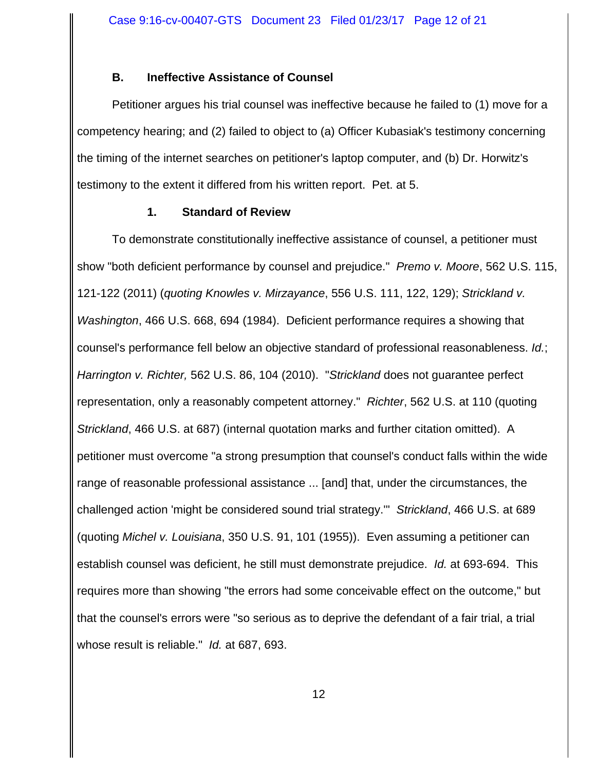# **B. Ineffective Assistance of Counsel**

Petitioner argues his trial counsel was ineffective because he failed to (1) move for a competency hearing; and (2) failed to object to (a) Officer Kubasiak's testimony concerning the timing of the internet searches on petitioner's laptop computer, and (b) Dr. Horwitz's testimony to the extent it differed from his written report. Pet. at 5.

## **1. Standard of Review**

To demonstrate constitutionally ineffective assistance of counsel, a petitioner must show "both deficient performance by counsel and prejudice." *Premo v. Moore*, 562 U.S. 115, 121-122 (2011) (*quoting Knowles v. Mirzayance*, 556 U.S. 111, 122, 129); *Strickland v. Washington*, 466 U.S. 668, 694 (1984). Deficient performance requires a showing that counsel's performance fell below an objective standard of professional reasonableness. *Id.*; *Harrington v. Richter,* 562 U.S. 86, 104 (2010). "*Strickland* does not guarantee perfect representation, only a reasonably competent attorney." *Richter*, 562 U.S. at 110 (quoting *Strickland*, 466 U.S. at 687) (internal quotation marks and further citation omitted). A petitioner must overcome "a strong presumption that counsel's conduct falls within the wide range of reasonable professional assistance ... [and] that, under the circumstances, the challenged action 'might be considered sound trial strategy.'" *Strickland*, 466 U.S. at 689 (quoting *Michel v. Louisiana*, 350 U.S. 91, 101 (1955)). Even assuming a petitioner can establish counsel was deficient, he still must demonstrate prejudice. *Id.* at 693-694. This requires more than showing "the errors had some conceivable effect on the outcome," but that the counsel's errors were "so serious as to deprive the defendant of a fair trial, a trial whose result is reliable." *Id.* at 687, 693.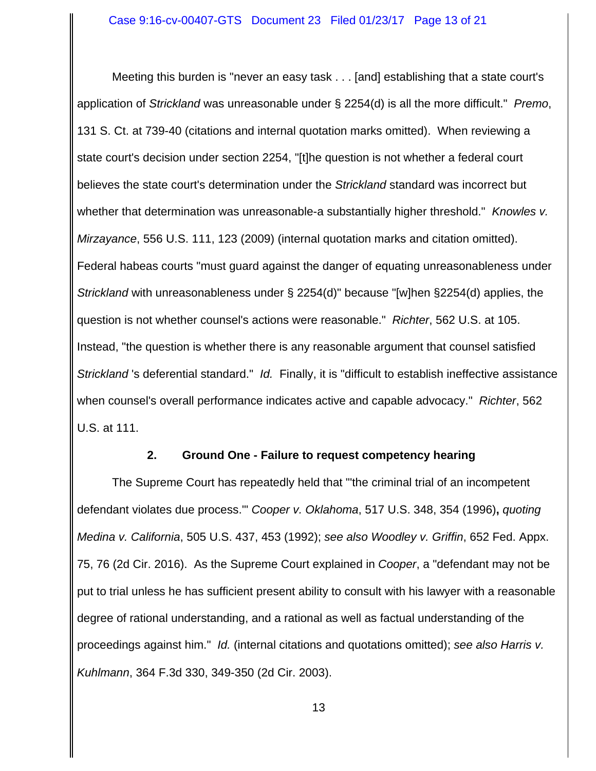Meeting this burden is "never an easy task . . . [and] establishing that a state court's application of *Strickland* was unreasonable under § 2254(d) is all the more difficult." *Premo*, 131 S. Ct. at 739-40 (citations and internal quotation marks omitted). When reviewing a state court's decision under section 2254, "[t]he question is not whether a federal court believes the state court's determination under the *Strickland* standard was incorrect but whether that determination was unreasonable-a substantially higher threshold." *Knowles v. Mirzayance*, 556 U.S. 111, 123 (2009) (internal quotation marks and citation omitted). Federal habeas courts "must guard against the danger of equating unreasonableness under *Strickland* with unreasonableness under § 2254(d)" because "[w]hen §2254(d) applies, the question is not whether counsel's actions were reasonable." *Richter*, 562 U.S. at 105. Instead, "the question is whether there is any reasonable argument that counsel satisfied *Strickland* 's deferential standard." *Id.* Finally, it is "difficult to establish ineffective assistance when counsel's overall performance indicates active and capable advocacy." *Richter*, 562 U.S. at 111.

#### **2. Ground One - Failure to request competency hearing**

The Supreme Court has repeatedly held that "'the criminal trial of an incompetent defendant violates due process.'" *Cooper v. Oklahoma*, 517 U.S. 348, 354 (1996)**,** *quoting Medina v. California*, 505 U.S. 437, 453 (1992); *see also Woodley v. Griffin*, 652 Fed. Appx. 75, 76 (2d Cir. 2016). As the Supreme Court explained in *Cooper*, a "defendant may not be put to trial unless he has sufficient present ability to consult with his lawyer with a reasonable degree of rational understanding, and a rational as well as factual understanding of the proceedings against him." *Id.* (internal citations and quotations omitted); *see also Harris v. Kuhlmann*, 364 F.3d 330, 349-350 (2d Cir. 2003).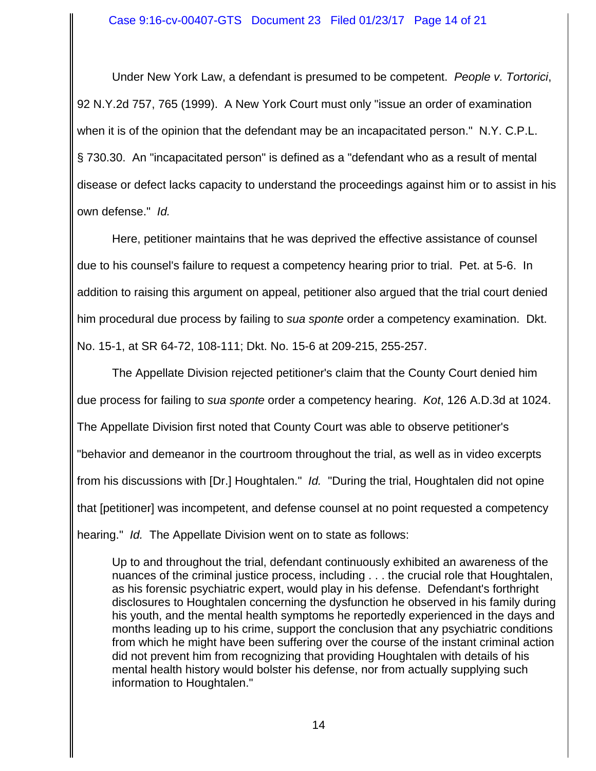Under New York Law, a defendant is presumed to be competent. *People v. Tortorici*, 92 N.Y.2d 757, 765 (1999). A New York Court must only "issue an order of examination when it is of the opinion that the defendant may be an incapacitated person." N.Y. C.P.L. § 730.30. An "incapacitated person" is defined as a "defendant who as a result of mental disease or defect lacks capacity to understand the proceedings against him or to assist in his own defense." *Id.* 

Here, petitioner maintains that he was deprived the effective assistance of counsel due to his counsel's failure to request a competency hearing prior to trial. Pet. at 5-6. In addition to raising this argument on appeal, petitioner also argued that the trial court denied him procedural due process by failing to *sua sponte* order a competency examination. Dkt. No. 15-1, at SR 64-72, 108-111; Dkt. No. 15-6 at 209-215, 255-257.

The Appellate Division rejected petitioner's claim that the County Court denied him due process for failing to *sua sponte* order a competency hearing. *Kot*, 126 A.D.3d at 1024. The Appellate Division first noted that County Court was able to observe petitioner's "behavior and demeanor in the courtroom throughout the trial, as well as in video excerpts from his discussions with [Dr.] Houghtalen." *Id.* "During the trial, Houghtalen did not opine that [petitioner] was incompetent, and defense counsel at no point requested a competency hearing." *Id.* The Appellate Division went on to state as follows:

Up to and throughout the trial, defendant continuously exhibited an awareness of the nuances of the criminal justice process, including . . . the crucial role that Houghtalen, as his forensic psychiatric expert, would play in his defense. Defendant's forthright disclosures to Houghtalen concerning the dysfunction he observed in his family during his youth, and the mental health symptoms he reportedly experienced in the days and months leading up to his crime, support the conclusion that any psychiatric conditions from which he might have been suffering over the course of the instant criminal action did not prevent him from recognizing that providing Houghtalen with details of his mental health history would bolster his defense, nor from actually supplying such information to Houghtalen."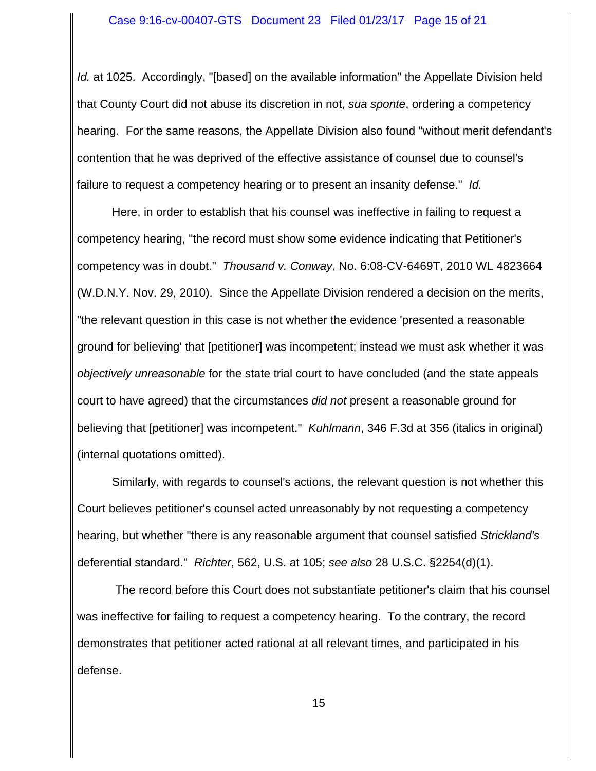*Id.* at 1025. Accordingly, "[based] on the available information" the Appellate Division held that County Court did not abuse its discretion in not, *sua sponte*, ordering a competency hearing. For the same reasons, the Appellate Division also found "without merit defendant's contention that he was deprived of the effective assistance of counsel due to counsel's failure to request a competency hearing or to present an insanity defense." *Id.* 

Here, in order to establish that his counsel was ineffective in failing to request a competency hearing, "the record must show some evidence indicating that Petitioner's competency was in doubt." *Thousand v. Conway*, No. 6:08-CV-6469T, 2010 WL 4823664 (W.D.N.Y. Nov. 29, 2010). Since the Appellate Division rendered a decision on the merits, "the relevant question in this case is not whether the evidence 'presented a reasonable ground for believing' that [petitioner] was incompetent; instead we must ask whether it was *objectively unreasonable* for the state trial court to have concluded (and the state appeals court to have agreed) that the circumstances *did not* present a reasonable ground for believing that [petitioner] was incompetent." *Kuhlmann*, 346 F.3d at 356 (italics in original) (internal quotations omitted).

Similarly, with regards to counsel's actions, the relevant question is not whether this Court believes petitioner's counsel acted unreasonably by not requesting a competency hearing, but whether "there is any reasonable argument that counsel satisfied *Strickland's* deferential standard." *Richter*, 562, U.S. at 105; *see also* 28 U.S.C. §2254(d)(1).

 The record before this Court does not substantiate petitioner's claim that his counsel was ineffective for failing to request a competency hearing. To the contrary, the record demonstrates that petitioner acted rational at all relevant times, and participated in his defense.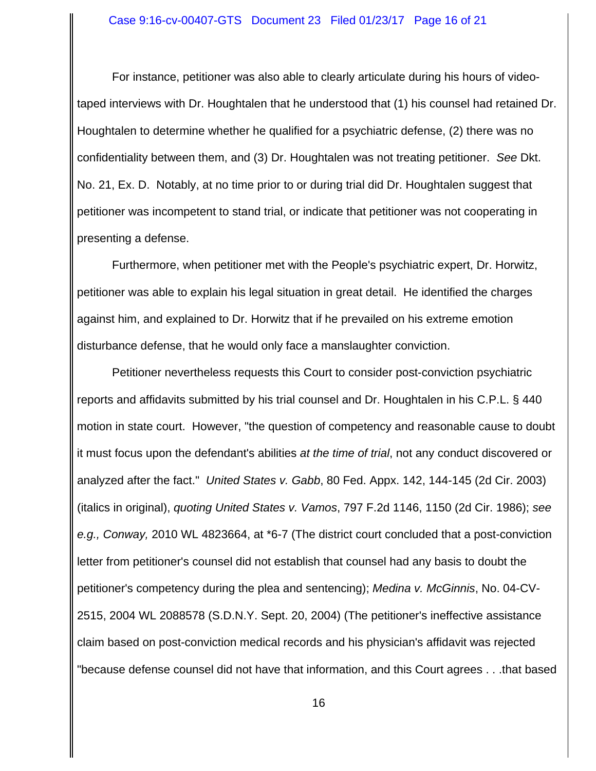#### Case 9:16-cv-00407-GTS Document 23 Filed 01/23/17 Page 16 of 21

For instance, petitioner was also able to clearly articulate during his hours of videotaped interviews with Dr. Houghtalen that he understood that (1) his counsel had retained Dr. Houghtalen to determine whether he qualified for a psychiatric defense, (2) there was no confidentiality between them, and (3) Dr. Houghtalen was not treating petitioner. *See* Dkt. No. 21, Ex. D. Notably, at no time prior to or during trial did Dr. Houghtalen suggest that petitioner was incompetent to stand trial, or indicate that petitioner was not cooperating in presenting a defense.

Furthermore, when petitioner met with the People's psychiatric expert, Dr. Horwitz, petitioner was able to explain his legal situation in great detail. He identified the charges against him, and explained to Dr. Horwitz that if he prevailed on his extreme emotion disturbance defense, that he would only face a manslaughter conviction.

Petitioner nevertheless requests this Court to consider post-conviction psychiatric reports and affidavits submitted by his trial counsel and Dr. Houghtalen in his C.P.L. § 440 motion in state court. However, "the question of competency and reasonable cause to doubt it must focus upon the defendant's abilities *at the time of trial*, not any conduct discovered or analyzed after the fact." *United States v. Gabb*, 80 Fed. Appx. 142, 144-145 (2d Cir. 2003) (italics in original), *quoting United States v. Vamos*, 797 F.2d 1146, 1150 (2d Cir. 1986); *see e.g., Conway,* 2010 WL 4823664, at \*6-7 (The district court concluded that a post-conviction letter from petitioner's counsel did not establish that counsel had any basis to doubt the petitioner's competency during the plea and sentencing); *Medina v. McGinnis*, No. 04-CV-2515, 2004 WL 2088578 (S.D.N.Y. Sept. 20, 2004) (The petitioner's ineffective assistance claim based on post-conviction medical records and his physician's affidavit was rejected "because defense counsel did not have that information, and this Court agrees . . .that based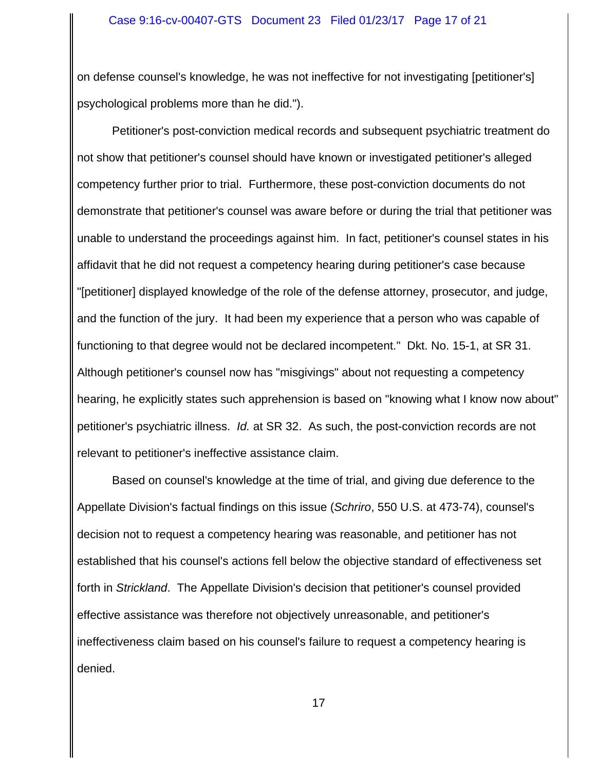on defense counsel's knowledge, he was not ineffective for not investigating [petitioner's] psychological problems more than he did.").

Petitioner's post-conviction medical records and subsequent psychiatric treatment do not show that petitioner's counsel should have known or investigated petitioner's alleged competency further prior to trial. Furthermore, these post-conviction documents do not demonstrate that petitioner's counsel was aware before or during the trial that petitioner was unable to understand the proceedings against him. In fact, petitioner's counsel states in his affidavit that he did not request a competency hearing during petitioner's case because "[petitioner] displayed knowledge of the role of the defense attorney, prosecutor, and judge, and the function of the jury. It had been my experience that a person who was capable of functioning to that degree would not be declared incompetent." Dkt. No. 15-1, at SR 31. Although petitioner's counsel now has "misgivings" about not requesting a competency hearing, he explicitly states such apprehension is based on "knowing what I know now about" petitioner's psychiatric illness. *Id.* at SR 32. As such, the post-conviction records are not relevant to petitioner's ineffective assistance claim.

Based on counsel's knowledge at the time of trial, and giving due deference to the Appellate Division's factual findings on this issue (*Schriro*, 550 U.S. at 473-74), counsel's decision not to request a competency hearing was reasonable, and petitioner has not established that his counsel's actions fell below the objective standard of effectiveness set forth in *Strickland*. The Appellate Division's decision that petitioner's counsel provided effective assistance was therefore not objectively unreasonable, and petitioner's ineffectiveness claim based on his counsel's failure to request a competency hearing is denied.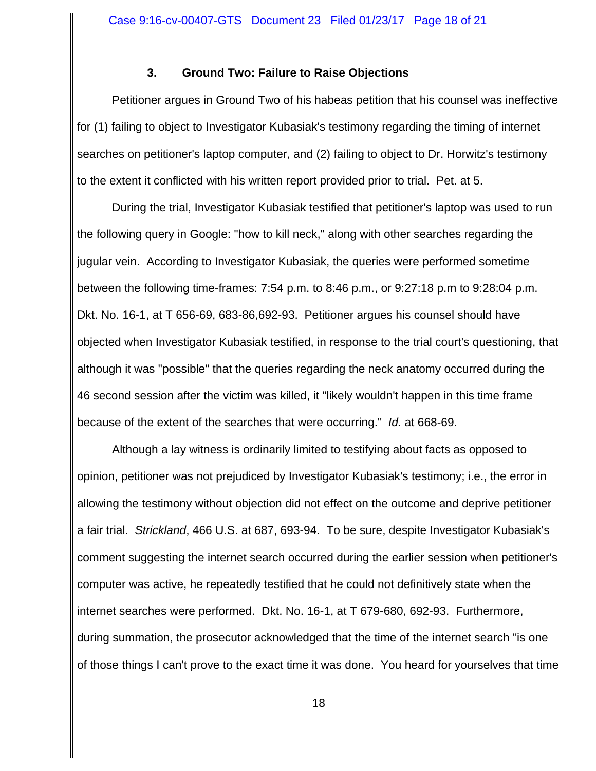## **3. Ground Two: Failure to Raise Objections**

Petitioner argues in Ground Two of his habeas petition that his counsel was ineffective for (1) failing to object to Investigator Kubasiak's testimony regarding the timing of internet searches on petitioner's laptop computer, and (2) failing to object to Dr. Horwitz's testimony to the extent it conflicted with his written report provided prior to trial. Pet. at 5.

During the trial, Investigator Kubasiak testified that petitioner's laptop was used to run the following query in Google: "how to kill neck," along with other searches regarding the jugular vein. According to Investigator Kubasiak, the queries were performed sometime between the following time-frames: 7:54 p.m. to 8:46 p.m., or 9:27:18 p.m to 9:28:04 p.m. Dkt. No. 16-1, at T 656-69, 683-86,692-93. Petitioner argues his counsel should have objected when Investigator Kubasiak testified, in response to the trial court's questioning, that although it was "possible" that the queries regarding the neck anatomy occurred during the 46 second session after the victim was killed, it "likely wouldn't happen in this time frame because of the extent of the searches that were occurring." *Id.* at 668-69.

Although a lay witness is ordinarily limited to testifying about facts as opposed to opinion, petitioner was not prejudiced by Investigator Kubasiak's testimony; i.e., the error in allowing the testimony without objection did not effect on the outcome and deprive petitioner a fair trial. *Strickland*, 466 U.S. at 687, 693-94. To be sure, despite Investigator Kubasiak's comment suggesting the internet search occurred during the earlier session when petitioner's computer was active, he repeatedly testified that he could not definitively state when the internet searches were performed. Dkt. No. 16-1, at T 679-680, 692-93. Furthermore, during summation, the prosecutor acknowledged that the time of the internet search "is one of those things I can't prove to the exact time it was done. You heard for yourselves that time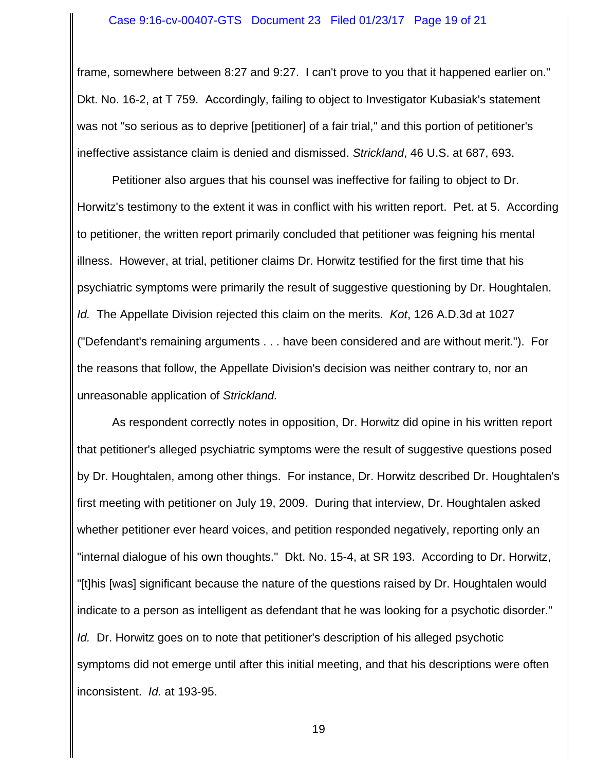frame, somewhere between 8:27 and 9:27. I can't prove to you that it happened earlier on." Dkt. No. 16-2, at T 759. Accordingly, failing to object to Investigator Kubasiak's statement was not "so serious as to deprive [petitioner] of a fair trial," and this portion of petitioner's ineffective assistance claim is denied and dismissed. *Strickland*, 46 U.S. at 687, 693.

Petitioner also argues that his counsel was ineffective for failing to object to Dr. Horwitz's testimony to the extent it was in conflict with his written report. Pet. at 5. According to petitioner, the written report primarily concluded that petitioner was feigning his mental illness. However, at trial, petitioner claims Dr. Horwitz testified for the first time that his psychiatric symptoms were primarily the result of suggestive questioning by Dr. Houghtalen. *Id.* The Appellate Division rejected this claim on the merits. *Kot*, 126 A.D.3d at 1027 ("Defendant's remaining arguments . . . have been considered and are without merit."). For the reasons that follow, the Appellate Division's decision was neither contrary to, nor an unreasonable application of *Strickland.*

As respondent correctly notes in opposition, Dr. Horwitz did opine in his written report that petitioner's alleged psychiatric symptoms were the result of suggestive questions posed by Dr. Houghtalen, among other things. For instance, Dr. Horwitz described Dr. Houghtalen's first meeting with petitioner on July 19, 2009. During that interview, Dr. Houghtalen asked whether petitioner ever heard voices, and petition responded negatively, reporting only an "internal dialogue of his own thoughts." Dkt. No. 15-4, at SR 193. According to Dr. Horwitz, "[t]his [was] significant because the nature of the questions raised by Dr. Houghtalen would indicate to a person as intelligent as defendant that he was looking for a psychotic disorder." *Id.* Dr. Horwitz goes on to note that petitioner's description of his alleged psychotic symptoms did not emerge until after this initial meeting, and that his descriptions were often inconsistent. *Id.* at 193-95.

19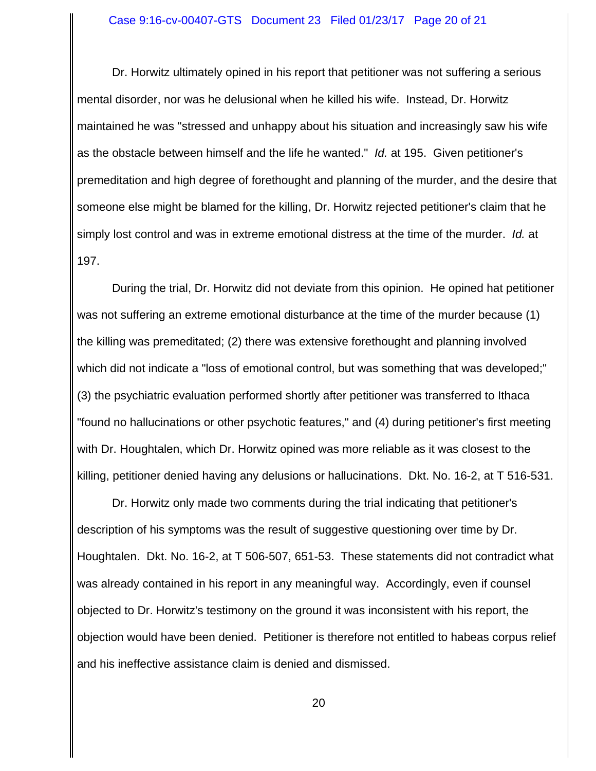Dr. Horwitz ultimately opined in his report that petitioner was not suffering a serious mental disorder, nor was he delusional when he killed his wife. Instead, Dr. Horwitz maintained he was "stressed and unhappy about his situation and increasingly saw his wife as the obstacle between himself and the life he wanted." *Id.* at 195. Given petitioner's premeditation and high degree of forethought and planning of the murder, and the desire that someone else might be blamed for the killing, Dr. Horwitz rejected petitioner's claim that he simply lost control and was in extreme emotional distress at the time of the murder. *Id.* at 197.

During the trial, Dr. Horwitz did not deviate from this opinion. He opined hat petitioner was not suffering an extreme emotional disturbance at the time of the murder because (1) the killing was premeditated; (2) there was extensive forethought and planning involved which did not indicate a "loss of emotional control, but was something that was developed;" (3) the psychiatric evaluation performed shortly after petitioner was transferred to Ithaca "found no hallucinations or other psychotic features," and (4) during petitioner's first meeting with Dr. Houghtalen, which Dr. Horwitz opined was more reliable as it was closest to the killing, petitioner denied having any delusions or hallucinations. Dkt. No. 16-2, at T 516-531.

Dr. Horwitz only made two comments during the trial indicating that petitioner's description of his symptoms was the result of suggestive questioning over time by Dr. Houghtalen. Dkt. No. 16-2, at T 506-507, 651-53. These statements did not contradict what was already contained in his report in any meaningful way. Accordingly, even if counsel objected to Dr. Horwitz's testimony on the ground it was inconsistent with his report, the objection would have been denied. Petitioner is therefore not entitled to habeas corpus relief and his ineffective assistance claim is denied and dismissed.